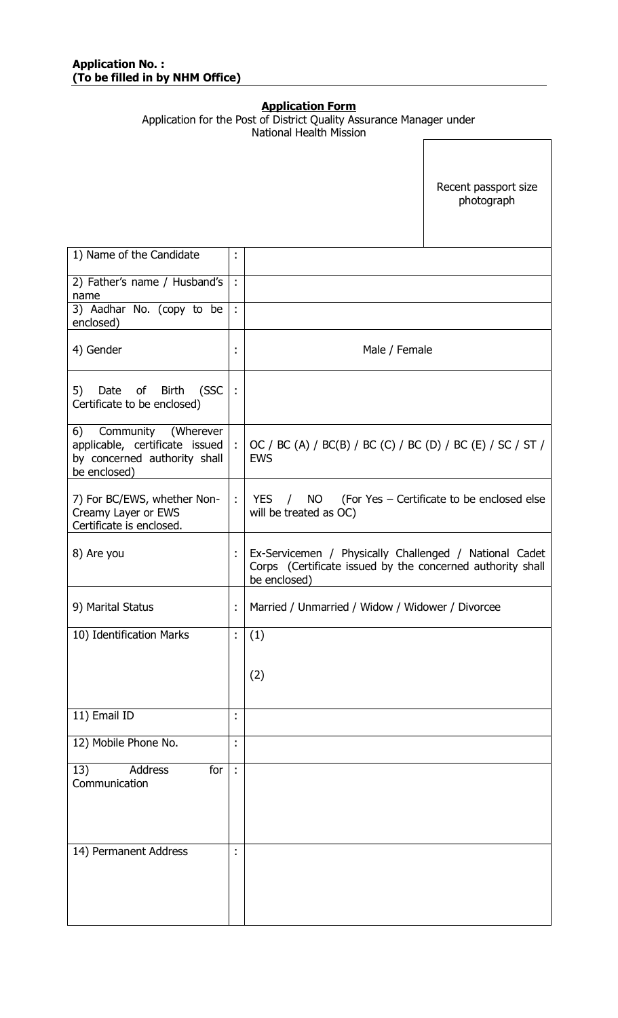#### **Application Form**

|                                                                                                             |                      | <b>National Health Mission</b>                                                                                                       |  |  |
|-------------------------------------------------------------------------------------------------------------|----------------------|--------------------------------------------------------------------------------------------------------------------------------------|--|--|
|                                                                                                             |                      | Recent passport size<br>photograph                                                                                                   |  |  |
| 1) Name of the Candidate                                                                                    | ÷                    |                                                                                                                                      |  |  |
| 2) Father's name / Husband's<br>name                                                                        | $\ddot{\phantom{a}}$ |                                                                                                                                      |  |  |
| 3) Aadhar No. (copy to be<br>enclosed)                                                                      | $\frac{1}{2}$        |                                                                                                                                      |  |  |
| 4) Gender                                                                                                   | t                    | Male / Female                                                                                                                        |  |  |
| 5)<br>Date of Birth<br>(SSC<br>Certificate to be enclosed)                                                  | $\frac{1}{2}$        |                                                                                                                                      |  |  |
| Community (Wherever<br>6)<br>applicable, certificate issued<br>by concerned authority shall<br>be enclosed) | $\frac{1}{2}$        | OC / BC (A) / BC(B) / BC (C) / BC (D) / BC (E) / SC / ST /<br><b>EWS</b>                                                             |  |  |
| 7) For BC/EWS, whether Non-<br>Creamy Layer or EWS<br>Certificate is enclosed.                              | $\ddot{\phantom{a}}$ | <b>NO</b><br>(For Yes - Certificate to be enclosed else<br>YES /<br>will be treated as OC)                                           |  |  |
| 8) Are you                                                                                                  | Î,                   | Ex-Servicemen / Physically Challenged / National Cadet<br>Corps (Certificate issued by the concerned authority shall<br>be enclosed) |  |  |
| 9) Marital Status                                                                                           | t                    | Married / Unmarried / Widow / Widower / Divorcee                                                                                     |  |  |
| 10) Identification Marks                                                                                    | t                    | (1)                                                                                                                                  |  |  |
|                                                                                                             |                      | (2)                                                                                                                                  |  |  |
| 11) Email ID                                                                                                | $\blacksquare$       |                                                                                                                                      |  |  |
| 12) Mobile Phone No.                                                                                        | $\blacksquare$       |                                                                                                                                      |  |  |
| 13)<br>Address<br>for<br>Communication                                                                      | $\ddot{\phantom{a}}$ |                                                                                                                                      |  |  |
| 14) Permanent Address                                                                                       | t                    |                                                                                                                                      |  |  |

Application for the Post of District Quality Assurance Manager under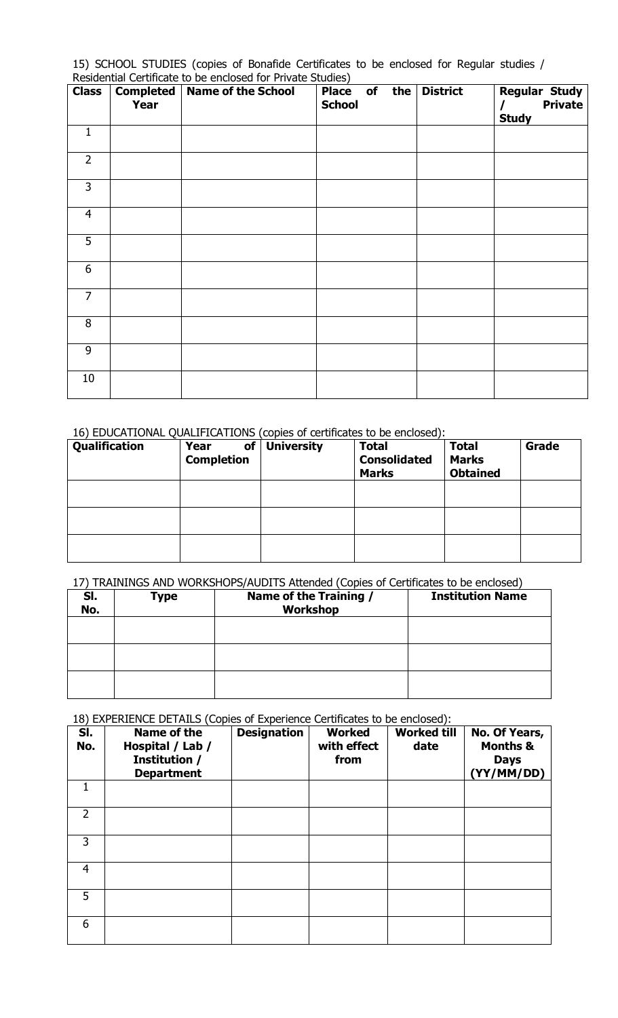15) SCHOOL STUDIES (copies of Bonafide Certificates to be enclosed for Regular studies / Residential Certificate to be enclosed for Private Studies)

| <b>Class</b>   | Year | <b>Completed   Name of the School</b> | .<br>Place of<br>the<br><b>School</b> | <b>District</b> | <b>Regular Study</b><br><b>Private</b><br><b>Study</b> |
|----------------|------|---------------------------------------|---------------------------------------|-----------------|--------------------------------------------------------|
| $\mathbf 1$    |      |                                       |                                       |                 |                                                        |
| $\overline{2}$ |      |                                       |                                       |                 |                                                        |
| $\overline{3}$ |      |                                       |                                       |                 |                                                        |
| $\overline{4}$ |      |                                       |                                       |                 |                                                        |
| 5              |      |                                       |                                       |                 |                                                        |
| 6              |      |                                       |                                       |                 |                                                        |
| $\overline{7}$ |      |                                       |                                       |                 |                                                        |
| 8              |      |                                       |                                       |                 |                                                        |
| 9              |      |                                       |                                       |                 |                                                        |
| 10             |      |                                       |                                       |                 |                                                        |

16) EDUCATIONAL QUALIFICATIONS (copies of certificates to be enclosed):

| Qualification | Year<br>of<br><b>Completion</b> | <b>University</b> | <b>Total</b><br><b>Consolidated</b><br><b>Marks</b> | <b>Total</b><br><b>Marks</b><br><b>Obtained</b> | Grade |
|---------------|---------------------------------|-------------------|-----------------------------------------------------|-------------------------------------------------|-------|
|               |                                 |                   |                                                     |                                                 |       |
|               |                                 |                   |                                                     |                                                 |       |
|               |                                 |                   |                                                     |                                                 |       |

17) TRAININGS AND WORKSHOPS/AUDITS Attended (Copies of Certificates to be enclosed)

| SI.<br>No. | <b>Type</b> | Name of the Training /<br>Workshop | <b>Institution Name</b> |
|------------|-------------|------------------------------------|-------------------------|
|            |             |                                    |                         |
|            |             |                                    |                         |
|            |             |                                    |                         |

18) EXPERIENCE DETAILS (Copies of Experience Certificates to be enclosed):

| SI.<br>No. | Name of the<br>Hospital / Lab /<br>Institution /<br><b>Department</b> | <b>Designation</b> | Worked<br>with effect<br>from | <b>Worked till</b><br>date | No. Of Years,<br><b>Months &amp;</b><br><b>Days</b><br>(YY/MM/DD) |
|------------|-----------------------------------------------------------------------|--------------------|-------------------------------|----------------------------|-------------------------------------------------------------------|
|            |                                                                       |                    |                               |                            |                                                                   |
| 2          |                                                                       |                    |                               |                            |                                                                   |
| 3          |                                                                       |                    |                               |                            |                                                                   |
| 4          |                                                                       |                    |                               |                            |                                                                   |
| 5          |                                                                       |                    |                               |                            |                                                                   |
| 6          |                                                                       |                    |                               |                            |                                                                   |